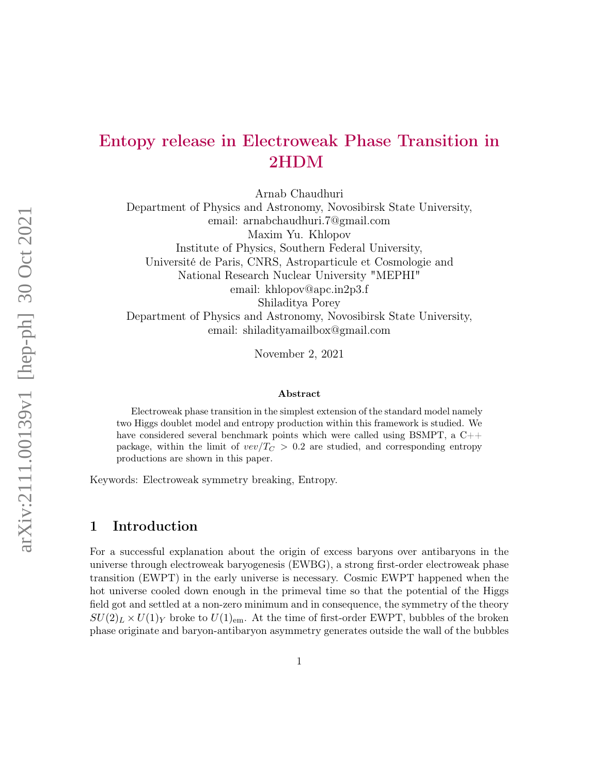# arXiv:2111.00139v1 [hep-ph] 30 Oct 2021 arXiv:2111.00139v1 [hep-ph] 30 Oct 2021

# Entopy release in Electroweak Phase Transition in 2HDM

Arnab Chaudhuri

Department of Physics and Astronomy, Novosibirsk State University, email: arnabchaudhuri.7@gmail.com Maxim Yu. Khlopov Institute of Physics, Southern Federal University, Université de Paris, CNRS, Astroparticule et Cosmologie and National Research Nuclear University "MEPHI" email: khlopov@apc.in2p3.f Shiladitya Porey Department of Physics and Astronomy, Novosibirsk State University, email: shiladityamailbox@gmail.com

November 2, 2021

### Abstract

Electroweak phase transition in the simplest extension of the standard model namely two Higgs doublet model and entropy production within this framework is studied. We have considered several benchmark points which were called using BSMPT, a  $C++$ package, within the limit of  $vev/T_C > 0.2$  are studied, and corresponding entropy productions are shown in this paper.

Keywords: Electroweak symmetry breaking, Entropy.

### 1 Introduction

For a successful explanation about the origin of excess baryons over antibaryons in the universe through electroweak baryogenesis (EWBG), a strong first-order electroweak phase transition (EWPT) in the early universe is necessary. Cosmic EWPT happened when the hot universe cooled down enough in the primeval time so that the potential of the Higgs field got and settled at a non-zero minimum and in consequence, the symmetry of the theory  $SU(2)_L \times U(1)_Y$  broke to  $U(1)_{\text{em}}$ . At the time of first-order EWPT, bubbles of the broken phase originate and baryon-antibaryon asymmetry generates outside the wall of the bubbles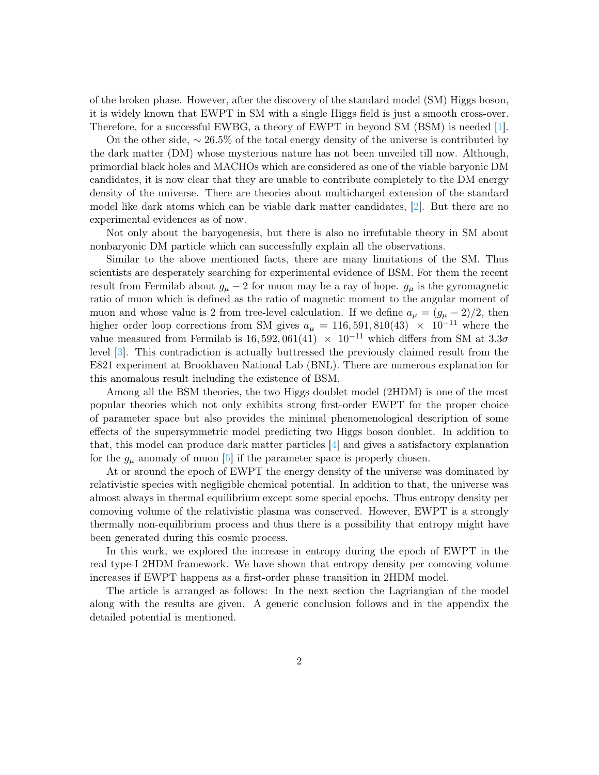of the broken phase. However, after the discovery of the standard model (SM) Higgs boson, it is widely known that EWPT in SM with a single Higgs field is just a smooth cross-over. Therefore, for a successful EWBG, a theory of EWPT in beyond SM (BSM) is needed [\[1\]](#page-5-0).

On the other side,  $\sim 26.5\%$  of the total energy density of the universe is contributed by the dark matter (DM) whose mysterious nature has not been unveiled till now. Although, primordial black holes and MACHOs which are considered as one of the viable baryonic DM candidates, it is now clear that they are unable to contribute completely to the DM energy density of the universe. There are theories about multicharged extension of the standard model like dark atoms which can be viable dark matter candidates, [\[2\]](#page-5-1). But there are no experimental evidences as of now.

Not only about the baryogenesis, but there is also no irrefutable theory in SM about nonbaryonic DM particle which can successfully explain all the observations.

Similar to the above mentioned facts, there are many limitations of the SM. Thus scientists are desperately searching for experimental evidence of BSM. For them the recent result from Fermilab about  $g_{\mu} - 2$  for muon may be a ray of hope.  $g_{\mu}$  is the gyromagnetic ratio of muon which is defined as the ratio of magnetic moment to the angular moment of muon and whose value is 2 from tree-level calculation. If we define  $a_{\mu} = (g_{\mu} - 2)/2$ , then higher order loop corrections from SM gives  $a_{\mu} = 116, 591, 810(43) \times 10^{-11}$  where the value measured from Fermilab is 16, 592, 061(41)  $\times$  10<sup>-11</sup> which differs from SM at 3.3 $\sigma$ level [\[3\]](#page-5-2). This contradiction is actually buttressed the previously claimed result from the E821 experiment at Brookhaven National Lab (BNL). There are numerous explanation for this anomalous result including the existence of BSM.

Among all the BSM theories, the two Higgs doublet model (2HDM) is one of the most popular theories which not only exhibits strong first-order EWPT for the proper choice of parameter space but also provides the minimal phenomenological description of some effects of the supersymmetric model predicting two Higgs boson doublet. In addition to that, this model can produce dark matter particles [\[4\]](#page-7-0) and gives a satisfactory explanation for the  $g_{\mu}$  anomaly of muon [\[5\]](#page-7-1) if the parameter space is properly chosen.

At or around the epoch of EWPT the energy density of the universe was dominated by relativistic species with negligible chemical potential. In addition to that, the universe was almost always in thermal equilibrium except some special epochs. Thus entropy density per comoving volume of the relativistic plasma was conserved. However, EWPT is a strongly thermally non-equilibrium process and thus there is a possibility that entropy might have been generated during this cosmic process.

In this work, we explored the increase in entropy during the epoch of EWPT in the real type-I 2HDM framework. We have shown that entropy density per comoving volume increases if EWPT happens as a first-order phase transition in 2HDM model.

The article is arranged as follows: In the next section the Lagriangian of the model along with the results are given. A generic conclusion follows and in the appendix the detailed potential is mentioned.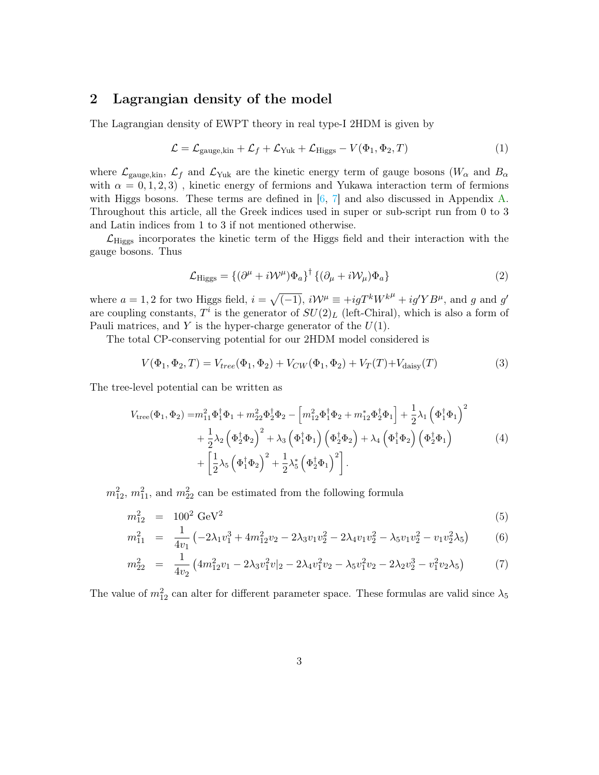### 2 Lagrangian density of the model

The Lagrangian density of EWPT theory in real type-I 2HDM is given by

$$
\mathcal{L} = \mathcal{L}_{\text{gauge,kin}} + \mathcal{L}_f + \mathcal{L}_{\text{Yuk}} + \mathcal{L}_{\text{Higgs}} - V(\Phi_1, \Phi_2, T) \tag{1}
$$

where  $\mathcal{L}_{\text{gauge,kin}}$ ,  $\mathcal{L}_{f}$  and  $\mathcal{L}_{\text{Yuk}}$  are the kinetic energy term of gauge bosons  $(W_{\alpha}$  and  $B_{\alpha}$ with  $\alpha = 0, 1, 2, 3$ , kinetic energy of fermions and Yukawa interaction term of fermions with Higgs bosons. These terms are defined in  $[6, 7]$  $[6, 7]$  $[6, 7]$  and also discussed in Appendix [A.](#page-8-0) Throughout this article, all the Greek indices used in super or sub-script run from 0 to 3 and Latin indices from 1 to 3 if not mentioned otherwise.

 $\mathcal{L}_{\text{Higgs}}$  incorporates the kinetic term of the Higgs field and their interaction with the gauge bosons. Thus

$$
\mathcal{L}_{\text{Higgs}} = \{ (\partial^{\mu} + i\mathcal{W}^{\mu}) \Phi_a \}^{\dagger} \{ (\partial_{\mu} + i\mathcal{W}_{\mu}) \Phi_a \} \tag{2}
$$

where  $a = 1, 2$  for two Higgs field,  $i = \sqrt{(-1)}$ ,  $i\mathcal{W}^{\mu} \equiv +igT^{k}W^{k\mu} + ig^{\prime}YB^{\mu}$ , and g and g' are coupling constants,  $T^i$  is the generator of  $SU(2)_L$  (left-Chiral), which is also a form of Pauli matrices, and Y is the hyper-charge generator of the  $U(1)$ .

The total CP-conserving potential for our 2HDM model considered is

<span id="page-2-0"></span>
$$
V(\Phi_1, \Phi_2, T) = V_{tree}(\Phi_1, \Phi_2) + V_{CW}(\Phi_1, \Phi_2) + V_T(T) + V_{\text{daisy}}(T)
$$
\n(3)

The tree-level potential can be written as

$$
V_{\text{tree}}(\Phi_1, \Phi_2) = m_{11}^2 \Phi_1^{\dagger} \Phi_1 + m_{22}^2 \Phi_2^{\dagger} \Phi_2 - \left[ m_{12}^2 \Phi_1^{\dagger} \Phi_2 + m_{12}^* \Phi_2^{\dagger} \Phi_1 \right] + \frac{1}{2} \lambda_1 \left( \Phi_1^{\dagger} \Phi_1 \right)^2
$$
  
+ 
$$
\frac{1}{2} \lambda_2 \left( \Phi_2^{\dagger} \Phi_2 \right)^2 + \lambda_3 \left( \Phi_1^{\dagger} \Phi_1 \right) \left( \Phi_2^{\dagger} \Phi_2 \right) + \lambda_4 \left( \Phi_1^{\dagger} \Phi_2 \right) \left( \Phi_2^{\dagger} \Phi_1 \right)
$$
  
+ 
$$
\left[ \frac{1}{2} \lambda_5 \left( \Phi_1^{\dagger} \Phi_2 \right)^2 + \frac{1}{2} \lambda_5^* \left( \Phi_2^{\dagger} \Phi_1 \right)^2 \right].
$$
 (4)

 $m_{12}^2$ ,  $m_{11}^2$ , and  $m_{22}^2$  can be estimated from the following formula

$$
m_{12}^2 = 100^2 \text{ GeV}^2 \tag{5}
$$

$$
m_{11}^2 = \frac{1}{4v_1} \left( -2\lambda_1 v_1^3 + 4m_{12}^2 v_2 - 2\lambda_3 v_1 v_2^2 - 2\lambda_4 v_1 v_2^2 - \lambda_5 v_1 v_2^2 - v_1 v_2^2 \lambda_5 \right) \tag{6}
$$

$$
m_{22}^2 = \frac{1}{4v_2} \left( 4m_{12}^2 v_1 - 2\lambda_3 v_1^2 v_2 - 2\lambda_4 v_1^2 v_2 - \lambda_5 v_1^2 v_2 - 2\lambda_2 v_2^3 - v_1^2 v_2 \lambda_5 \right) \tag{7}
$$

The value of  $m_{12}^2$  can alter for different parameter space. These formulas are valid since  $\lambda_5$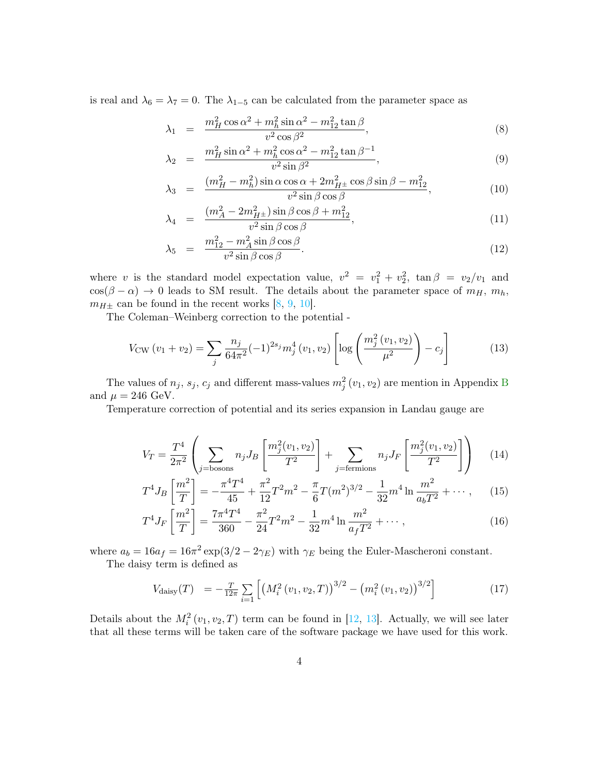is real and  $\lambda_6 = \lambda_7 = 0$ . The  $\lambda_{1-5}$  can be calculated from the parameter space as

$$
\lambda_1 = \frac{m_H^2 \cos \alpha^2 + m_h^2 \sin \alpha^2 - m_{12}^2 \tan \beta}{v^2 \cos \beta^2},\tag{8}
$$

$$
\lambda_2 = \frac{m_H^2 \sin \alpha^2 + m_h^2 \cos \alpha^2 - m_{12}^2 \tan \beta^{-1}}{v^2 \sin \beta^2},
$$
\n(9)

$$
\lambda_3 = \frac{(m_H^2 - m_h^2)\sin\alpha\cos\alpha + 2m_{H^\pm}^2\cos\beta\sin\beta - m_{12}^2}{v^2\sin\beta\cos\beta},
$$
\n(10)

$$
\lambda_4 = \frac{(m_A^2 - 2m_{H^\pm}^2)\sin\beta\cos\beta + m_{12}^2}{v^2\sin\beta\cos\beta},\tag{11}
$$

$$
\lambda_5 = \frac{m_{12}^2 - m_A^2 \sin \beta \cos \beta}{v^2 \sin \beta \cos \beta}.
$$
\n(12)

where v is the standard model expectation value,  $v^2 = v_1^2 + v_2^2$ ,  $\tan \beta = v_2/v_1$  and  $\cos(\beta - \alpha) \to 0$  leads to SM result. The details about the parameter space of  $m_H$ ,  $m_h$ ,  $m_{H\pm}$  can be found in the recent works [\[8,](#page-7-4) [9,](#page-7-5) [10\]](#page-7-6).

The Coleman–Weinberg correction to the potential -

$$
V_{\text{CW}}\left(v_1 + v_2\right) = \sum_{j} \frac{n_j}{64\pi^2} (-1)^{2s_j} m_j^4\left(v_1, v_2\right) \left[ \log \left( \frac{m_j^2\left(v_1, v_2\right)}{\mu^2} \right) - c_j \right] \tag{13}
$$

The values of  $n_j$ ,  $s_j$ ,  $c_j$  and different mass-values  $m_j^2(v_1, v_2)$  are mention in Appendix [B](#page-8-1) and  $\mu = 246$  GeV.

Temperature correction of potential and its series expansion in Landau gauge are

$$
V_T = \frac{T^4}{2\pi^2} \left( \sum_{j=\text{bosons}} n_j J_B \left[ \frac{m_j^2(v_1, v_2)}{T^2} \right] + \sum_{j=\text{fermions}} n_j J_F \left[ \frac{m_j^2(v_1, v_2)}{T^2} \right] \right) \tag{14}
$$

$$
T^4 J_B \left[ \frac{m^2}{T} \right] = -\frac{\pi^4 T^4}{45} + \frac{\pi^2}{12} T^2 m^2 - \frac{\pi}{6} T (m^2)^{3/2} - \frac{1}{32} m^4 \ln \frac{m^2}{a_b T^2} + \cdots, \tag{15}
$$

$$
T^4 J_F \left[ \frac{m^2}{T} \right] = \frac{7\pi^4 T^4}{360} - \frac{\pi^2}{24} T^2 m^2 - \frac{1}{32} m^4 \ln \frac{m^2}{a_f T^2} + \cdots , \qquad (16)
$$

where  $a_b = 16a_f = 16\pi^2 \exp(3/2 - 2\gamma_E)$  with  $\gamma_E$  being the Euler-Mascheroni constant.

The daisy term is defined as

$$
V_{\text{daisy}}(T) = -\frac{T}{12\pi} \sum_{i=1} \left[ \left( M_i^2 \left( v_1, v_2, T \right) \right)^{3/2} - \left( m_i^2 \left( v_1, v_2 \right) \right)^{3/2} \right] \tag{17}
$$

Details about the  $M_i^2(v_1, v_2, T)$  term can be found in [\[12,](#page-7-7) [13\]](#page-7-8). Actually, we will see later that all these terms will be taken care of the software package we have used for this work.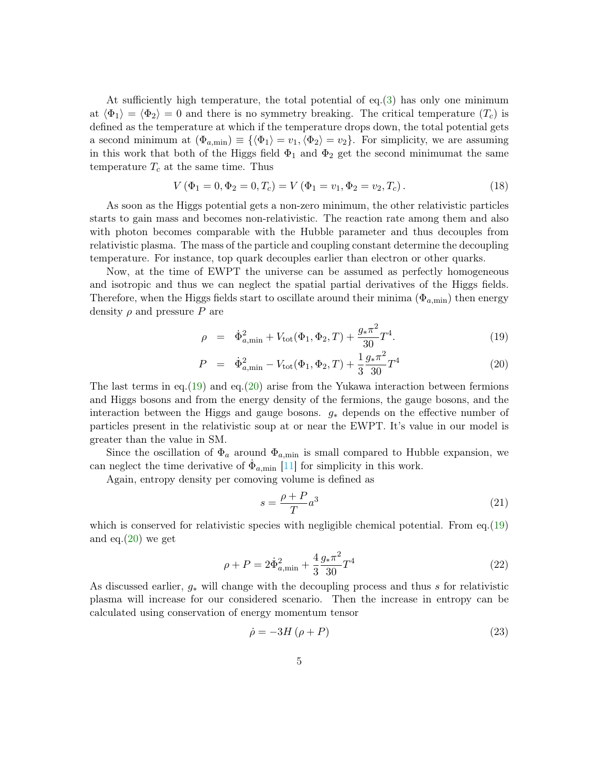At sufficiently high temperature, the total potential of eq.[\(3\)](#page-2-0) has only one minimum at  $\langle \Phi_1 \rangle = \langle \Phi_2 \rangle = 0$  and there is no symmetry breaking. The critical temperature  $(T_c)$  is defined as the temperature at which if the temperature drops down, the total potential gets a second minimum at  $(\Phi_{a,\min}) \equiv {\{\langle \Phi_1 \rangle = v_1, \langle \Phi_2 \rangle = v_2\}}$ . For simplicity, we are assuming in this work that both of the Higgs field  $\Phi_1$  and  $\Phi_2$  get the second minimum t the same temperature  $T_c$  at the same time. Thus

$$
V(\Phi_1 = 0, \Phi_2 = 0, T_c) = V(\Phi_1 = v_1, \Phi_2 = v_2, T_c).
$$
\n(18)

As soon as the Higgs potential gets a non-zero minimum, the other relativistic particles starts to gain mass and becomes non-relativistic. The reaction rate among them and also with photon becomes comparable with the Hubble parameter and thus decouples from relativistic plasma. The mass of the particle and coupling constant determine the decoupling temperature. For instance, top quark decouples earlier than electron or other quarks.

Now, at the time of EWPT the universe can be assumed as perfectly homogeneous and isotropic and thus we can neglect the spatial partial derivatives of the Higgs fields. Therefore, when the Higgs fields start to oscillate around their minima  $(\Phi_{a,\min})$  then energy density  $\rho$  and pressure P are

<span id="page-4-0"></span>
$$
\rho = \dot{\Phi}_{a,\min}^2 + V_{\text{tot}}(\Phi_1, \Phi_2, T) + \frac{g_* \pi^2}{30} T^4.
$$
\n(19)

$$
P = \dot{\Phi}_{a,\min}^2 - V_{\text{tot}}(\Phi_1, \Phi_2, T) + \frac{1}{3} \frac{g_* \pi^2}{30} T^4
$$
 (20)

The last terms in eq.[\(19\)](#page-4-0) and eq.[\(20\)](#page-4-0) arise from the Yukawa interaction between fermions and Higgs bosons and from the energy density of the fermions, the gauge bosons, and the interaction between the Higgs and gauge bosons. g<sup>∗</sup> depends on the effective number of particles present in the relativistic soup at or near the EWPT. It's value in our model is greater than the value in SM.

Since the oscillation of  $\Phi_a$  around  $\Phi_{a,\text{min}}$  is small compared to Hubble expansion, we can neglect the time derivative of  $\dot{\Phi}_{a,\text{min}}$  [\[11\]](#page-7-9) for simplicity in this work.

Again, entropy density per comoving volume is defined as

$$
s = \frac{\rho + P}{T}a^3\tag{21}
$$

which is conserved for relativistic species with negligible chemical potential. From  $eq.(19)$  $eq.(19)$ and eq. $(20)$  we get

$$
\rho + P = 2\dot{\Phi}_{a,\min}^2 + \frac{4}{3}\frac{g_*\pi^2}{30}T^4
$$
\n(22)

As discussed earlier, g<sup>∗</sup> will change with the decoupling process and thus s for relativistic plasma will increase for our considered scenario. Then the increase in entropy can be calculated using conservation of energy momentum tensor

<span id="page-4-1"></span>
$$
\dot{\rho} = -3H\left(\rho + P\right) \tag{23}
$$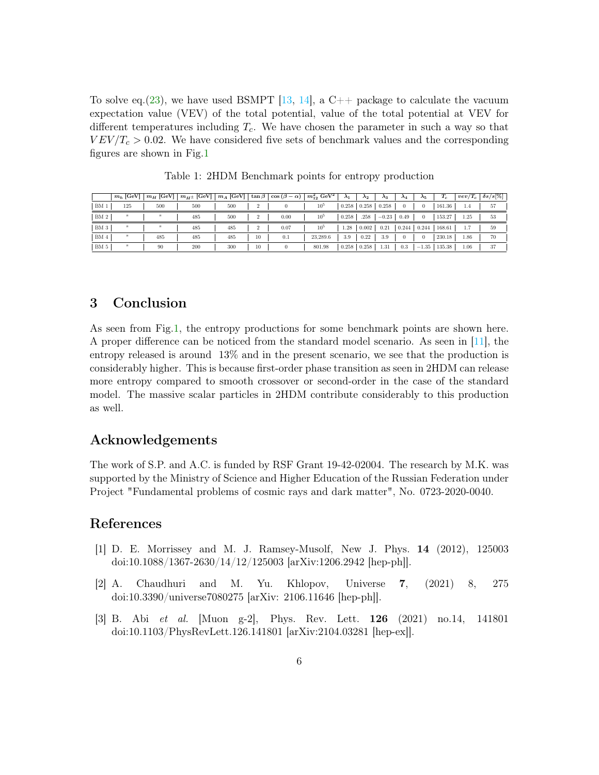To solve eq. [\(23\)](#page-4-1), we have used BSMPT [\[13,](#page-7-8) [14\]](#page-7-10), a C++ package to calculate the vacuum expectation value (VEV) of the total potential, value of the total potential at VEV for different temperatures including  $T_c$ . We have chosen the parameter in such a way so that  $VEV/T_c > 0.02$ . We have considered five sets of benchmark values and the corresponding figures are shown in Fig[.1](#page-6-0)

|                 | $m_h$ [GeV] |     | $\mid m_H$ [GeV] $\mid m_{H^{\pm}}$ [GeV] $\mid$ |     |                | $m_A$ [GeV] $\vert \tan \beta \vert \cos (\beta - \alpha) \vert m_{12}^2$ GeV <sup>2</sup> |                 | $\lambda_1$ | $\lambda_2$       | $\lambda_3$ | $\lambda_4$ | $\lambda_5$ | $T_c$    |      | $vev/T_c \mid \delta s/s[\%]$ |
|-----------------|-------------|-----|--------------------------------------------------|-----|----------------|--------------------------------------------------------------------------------------------|-----------------|-------------|-------------------|-------------|-------------|-------------|----------|------|-------------------------------|
| BM <sub>1</sub> | 125         | 500 | 500                                              | 500 | $\overline{2}$ | $\bf{0}$                                                                                   | $10^{5}$        |             | $0.258 \pm 0.258$ | 0.258       | $\bf{0}$    | $\theta$    | 161.36   | 1.4  | 57                            |
| BM 2            |             |     | 485                                              | 500 | $\overline{2}$ | 0.00                                                                                       | 10 <sup>5</sup> | 0.258       | .258              | $-0.23$     | 0.49        | $\Omega$    | $153.27$ | 1.25 | 53                            |
| BM <sub>3</sub> | п.          |     | 485                                              | 485 | $\overline{2}$ | 0.07                                                                                       | $10^{5}$        | 1.28        | 0.002             | 0.21        | 0.244       | 0.244       | 168.61   | 1.7  | 59                            |
| BM <sub>4</sub> |             | 485 | 485                                              | 485 | 10             | 0.1                                                                                        | 23.289.6        | 3.9         | 0.22              | 3.9         | $\bf{0}$    |             | 230.18   | 1.86 | 70                            |
| BM <sub>5</sub> |             | 90  | 200                                              | 300 | 10             | $\theta$                                                                                   | 801.98          | 0.258       | $+0.258$          | 1.31        | 0.3         | $-1.35$     | 135.38   | 1.06 | 37                            |

Table 1: 2HDM Benchmark points for entropy production

## 3 Conclusion

As seen from Fig[.1,](#page-6-0) the entropy productions for some benchmark points are shown here. A proper difference can be noticed from the standard model scenario. As seen in [\[11\]](#page-7-9), the entropy released is around 13% and in the present scenario, we see that the production is considerably higher. This is because first-order phase transition as seen in 2HDM can release more entropy compared to smooth crossover or second-order in the case of the standard model. The massive scalar particles in 2HDM contribute considerably to this production as well.

## Acknowledgements

The work of S.P. and A.C. is funded by RSF Grant 19-42-02004. The research by M.K. was supported by the Ministry of Science and Higher Education of the Russian Federation under Project "Fundamental problems of cosmic rays and dark matter", No. 0723-2020-0040.

### References

- <span id="page-5-0"></span>[1] D. E. Morrissey and M. J. Ramsey-Musolf, New J. Phys. 14 (2012), 125003 doi:10.1088/1367-2630/14/12/125003 [arXiv:1206.2942 [hep-ph]].
- <span id="page-5-1"></span>[2] A. Chaudhuri and M. Yu. Khlopov, Universe 7, (2021) 8, 275 doi:10.3390/universe7080275 [arXiv: 2106.11646 [hep-ph]].
- <span id="page-5-2"></span>[3] B. Abi et al. [Muon g-2], Phys. Rev. Lett. 126 (2021) no.14, 141801 doi:10.1103/PhysRevLett.126.141801 [arXiv:2104.03281 [hep-ex]].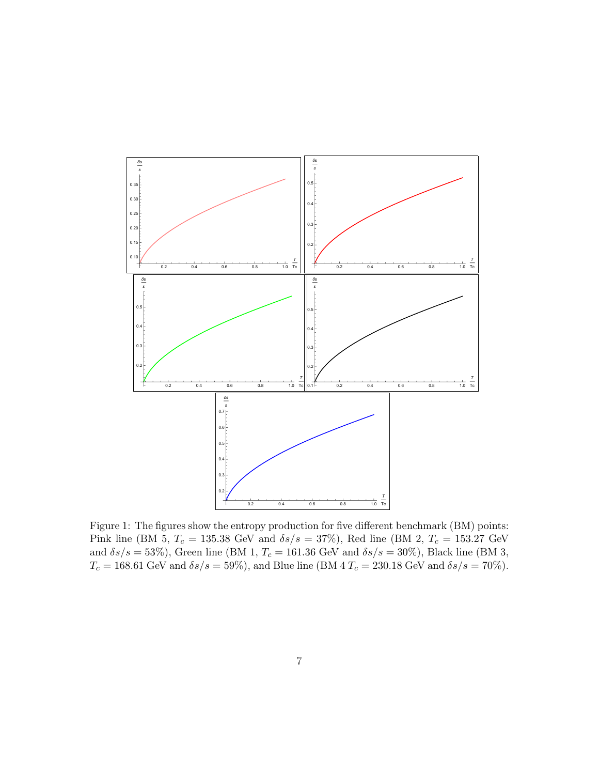<span id="page-6-0"></span>

Figure 1: The figures show the entropy production for five different benchmark (BM) points: Pink line (BM 5,  $T_c = 135.38$  GeV and  $\delta s/s = 37\%$ ), Red line (BM 2,  $T_c = 153.27$  GeV and  $\delta s/s = 53\%$ ), Green line (BM 1,  $T_c = 161.36$  GeV and  $\delta s/s = 30\%$ ), Black line (BM 3,  $T_c = 168.61$  GeV and  $\delta s/s = 59\%$ , and Blue line (BM 4  $T_c = 230.18$  GeV and  $\delta s/s = 70\%$ ).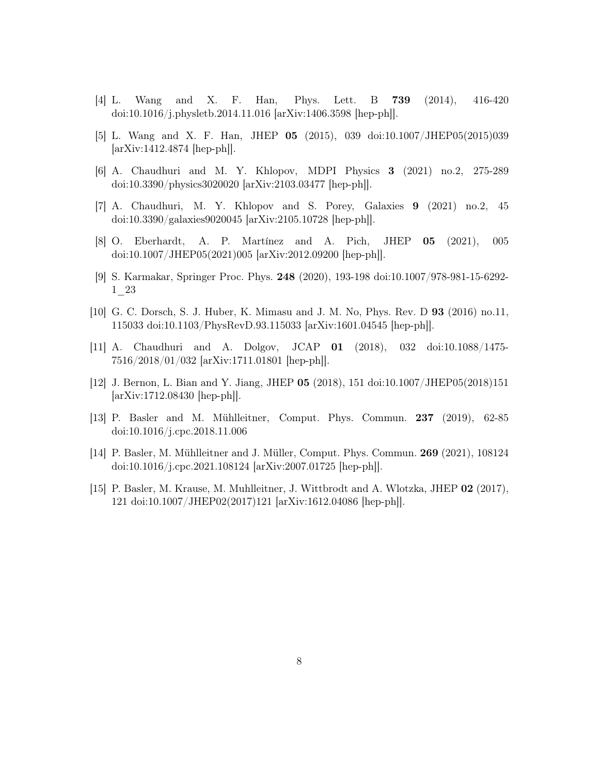- <span id="page-7-0"></span>[4] L. Wang and X. F. Han, Phys. Lett. B 739 (2014), 416-420 doi:10.1016/j.physletb.2014.11.016 [arXiv:1406.3598 [hep-ph]].
- <span id="page-7-1"></span>[5] L. Wang and X. F. Han, JHEP 05 (2015), 039 doi:10.1007/JHEP05(2015)039 [arXiv:1412.4874 [hep-ph]].
- <span id="page-7-2"></span>[6] A. Chaudhuri and M. Y. Khlopov, MDPI Physics 3 (2021) no.2, 275-289 doi:10.3390/physics3020020 [arXiv:2103.03477 [hep-ph]].
- <span id="page-7-3"></span>[7] A. Chaudhuri, M. Y. Khlopov and S. Porey, Galaxies 9 (2021) no.2, 45 doi:10.3390/galaxies9020045 [arXiv:2105.10728 [hep-ph]].
- <span id="page-7-4"></span>[8] O. Eberhardt, A. P. Martínez and A. Pich, JHEP 05 (2021), 005 doi:10.1007/JHEP05(2021)005 [arXiv:2012.09200 [hep-ph]].
- <span id="page-7-5"></span>[9] S. Karmakar, Springer Proc. Phys. 248 (2020), 193-198 doi:10.1007/978-981-15-6292- 1\_23
- <span id="page-7-6"></span>[10] G. C. Dorsch, S. J. Huber, K. Mimasu and J. M. No, Phys. Rev. D 93 (2016) no.11, 115033 doi:10.1103/PhysRevD.93.115033 [arXiv:1601.04545 [hep-ph]].
- <span id="page-7-9"></span>[11] A. Chaudhuri and A. Dolgov, JCAP 01 (2018), 032 doi:10.1088/1475- 7516/2018/01/032 [arXiv:1711.01801 [hep-ph]].
- <span id="page-7-7"></span>[12] J. Bernon, L. Bian and Y. Jiang, JHEP 05 (2018), 151 doi:10.1007/JHEP05(2018)151 [arXiv:1712.08430 [hep-ph]].
- <span id="page-7-8"></span>[13] P. Basler and M. Mühlleitner, Comput. Phys. Commun. 237 (2019), 62-85 doi:10.1016/j.cpc.2018.11.006
- <span id="page-7-10"></span>[14] P. Basler, M. Mühlleitner and J. Müller, Comput. Phys. Commun. 269 (2021), 108124 doi:10.1016/j.cpc.2021.108124 [arXiv:2007.01725 [hep-ph]].
- [15] P. Basler, M. Krause, M. Muhlleitner, J. Wittbrodt and A. Wlotzka, JHEP 02 (2017), 121 doi:10.1007/JHEP02(2017)121 [arXiv:1612.04086 [hep-ph]].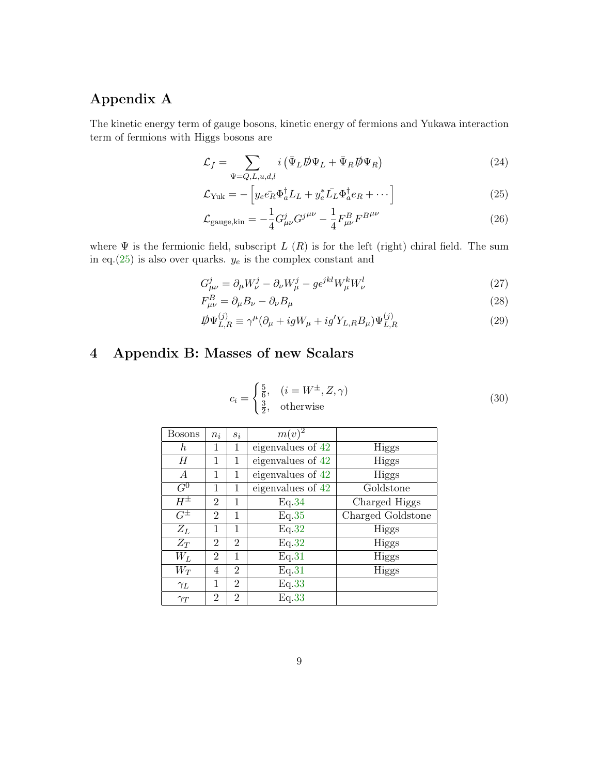# <span id="page-8-0"></span>Appendix A

The kinetic energy term of gauge bosons, kinetic energy of fermions and Yukawa interaction term of fermions with Higgs bosons are

$$
\mathcal{L}_f = \sum_{\Psi = Q, L, u, d, l} i \left( \bar{\Psi}_L \rlap{\,/}D \Psi_L + \bar{\Psi}_R \rlap{\,/}D \Psi_R \right) \tag{24}
$$

$$
\mathcal{L}_{\text{Yuk}} = -\left[ y_e e_R \Phi_a^{\dagger} L_L + y_e^* \bar{L_L} \Phi_a^{\dagger} e_R + \cdots \right] \tag{25}
$$

<span id="page-8-2"></span>
$$
\mathcal{L}_{\text{gauge,kin}} = -\frac{1}{4} G_{\mu\nu}^j G^{j\mu\nu} - \frac{1}{4} F_{\mu\nu}^B F^{B^{\mu\nu}} \tag{26}
$$

where  $\Psi$  is the fermionic field, subscript  $L(R)$  is for the left (right) chiral field. The sum in eq.[\(25\)](#page-8-2) is also over quarks.  $y_e$  is the complex constant and

$$
G^j_{\mu\nu} = \partial_\mu W^j_\nu - \partial_\nu W^j_\mu - g\epsilon^{jkl} W^k_\mu W^l_\nu \tag{27}
$$

$$
F_{\mu\nu}^{B} = \partial_{\mu}B_{\nu} - \partial_{\nu}B_{\mu} \tag{28}
$$

$$
\mathcal{D}\Psi_{L,R}^{(j)} \equiv \gamma^{\mu}(\partial_{\mu} + igW_{\mu} + ig'Y_{L,R}B_{\mu})\Psi_{L,R}^{(j)}
$$
(29)

# <span id="page-8-1"></span>4 Appendix B: Masses of new Scalars

$$
c_i = \begin{cases} \frac{5}{6}, & (i = W^{\pm}, Z, \gamma) \\ \frac{3}{2}, & \text{otherwise} \end{cases} \tag{30}
$$

| Bosons           | $n_i$          | $S_i$          | $m(v)^2$          |                   |
|------------------|----------------|----------------|-------------------|-------------------|
| $\hbar$          | 1              | 1              | eigenvalues of 42 | Higgs             |
| H                | 1              | 1              | eigenvalues of 42 | <b>Higgs</b>      |
| $\boldsymbol{A}$ | 1              | 1              | eigenvalues of 42 | <b>Higgs</b>      |
| $\overline{G^0}$ | 1              | 1              | eigenvalues of 42 | Goldstone         |
| $H^{\pm}$        | $\overline{2}$ | 1              | Eq.34             | Charged Higgs     |
| $G^{\pm}$        | $\overline{2}$ | 1              | Eq.35             | Charged Goldstone |
| $Z_L$            | 1              | 1              | Eq.32             | Higgs             |
| $Z_T$            | $\overline{2}$ | $\overline{2}$ | Eq.32             | <b>Higgs</b>      |
| $W_L$            | $\overline{2}$ | 1              | Eq.31             | Higgs             |
| $W_T$            | 4              | $\overline{2}$ | Eq.31             | Higgs             |
| $\gamma_L$       | 1              | $\overline{2}$ | Eq.33             |                   |
| $\gamma_T$       | $\overline{2}$ | $\overline{2}$ | Eq.33             |                   |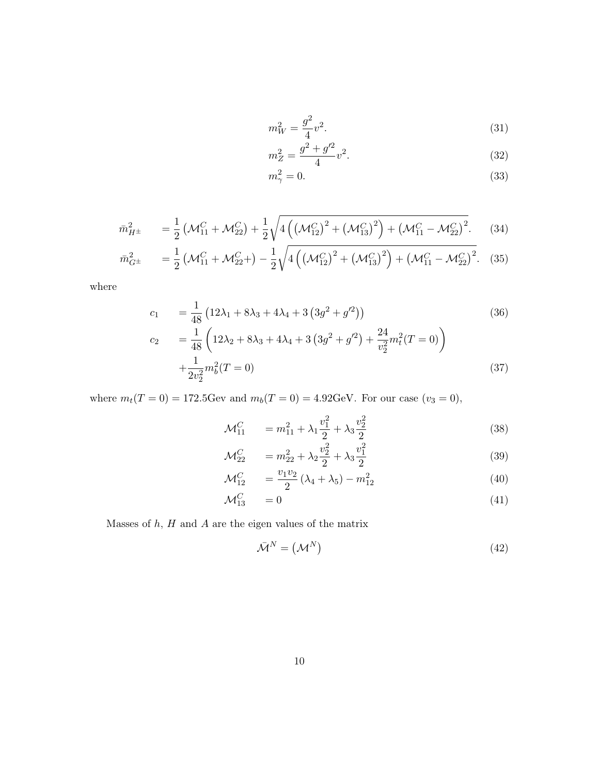<span id="page-9-2"></span>
$$
m_W^2 = \frac{g^2}{4}v^2.
$$
\n(31)

$$
m_Z^2 = \frac{g^2 + g'^2}{4}v^2.
$$
\n(32)

$$
m_{\gamma}^{2} = 0. \tag{33}
$$

<span id="page-9-1"></span>
$$
\bar{m}_{H^{\pm}}^2 = \frac{1}{2} \left( \mathcal{M}_{11}^C + \mathcal{M}_{22}^C \right) + \frac{1}{2} \sqrt{4 \left( \left( \mathcal{M}_{12}^C \right)^2 + \left( \mathcal{M}_{13}^C \right)^2 \right) + \left( \mathcal{M}_{11}^C - \mathcal{M}_{22}^C \right)^2}.
$$
 (34)

$$
\bar{m}_{G^{\pm}}^{2} = \frac{1}{2} \left( \mathcal{M}_{11}^{C} + \mathcal{M}_{22}^{C} + \right) - \frac{1}{2} \sqrt{4 \left( \left( \mathcal{M}_{12}^{C} \right)^{2} + \left( \mathcal{M}_{13}^{C} \right)^{2} \right) + \left( \mathcal{M}_{11}^{C} - \mathcal{M}_{22}^{C} \right)^{2}}.
$$
 (35)

where

$$
c_1 = \frac{1}{48} \left( 12\lambda_1 + 8\lambda_3 + 4\lambda_4 + 3 \left( 3g^2 + g'^2 \right) \right)
$$
  
\n
$$
c_2 = \frac{1}{48} \left( 12\lambda_2 + 8\lambda_3 + 4\lambda_4 + 3 \left( 3g^2 + g'^2 \right) + \frac{24}{v_2^2} m_t^2 (T = 0) \right)
$$
  
\n
$$
+ \frac{1}{2v_2^2} m_b^2 (T = 0)
$$
\n(37)

where  $m_t(T = 0) = 172.5$  Gev and  $m_b(T = 0) = 4.92$  GeV. For our case  $(v_3 = 0)$ ,

$$
\mathcal{M}_{11}^C = m_{11}^2 + \lambda_1 \frac{v_1^2}{2} + \lambda_3 \frac{v_2^2}{2} \tag{38}
$$

$$
\mathcal{M}_{22}^C = m_{22}^2 + \lambda_2 \frac{v_2^2}{2} + \lambda_3 \frac{v_1^2}{2}
$$
\n(39)

$$
\mathcal{M}_{12}^C = \frac{v_1 v_2}{2} (\lambda_4 + \lambda_5) - m_{12}^2 \tag{40}
$$

$$
\mathcal{M}_{13}^C = 0 \tag{41}
$$

Masses of  $h$ ,  $H$  and  $A$  are the eigen values of the matrix

<span id="page-9-0"></span>
$$
\bar{\mathcal{M}}^N = \left(\mathcal{M}^N\right) \tag{42}
$$